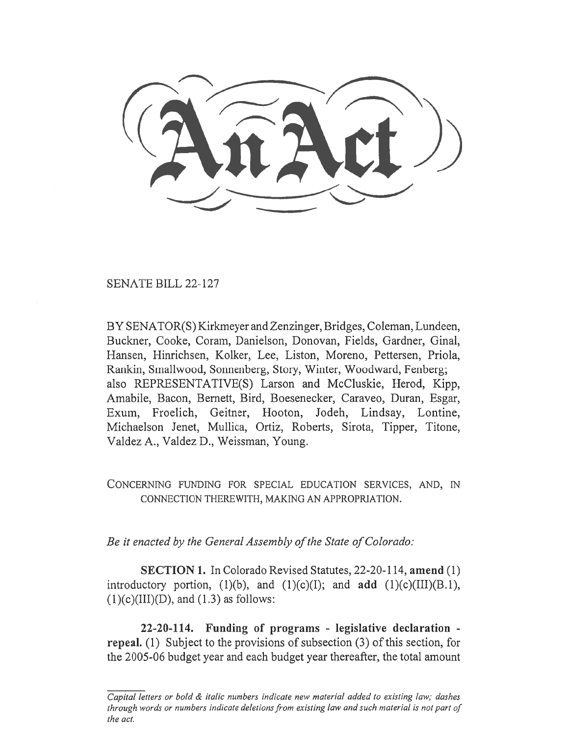SENATE BILL 22-127

BY SENATOR(S) Kirkmeyer and Zenzinger, Bridges, Coleman, Lundeen, Buckner, Cooke, Coram, Danielson, Donovan, Fields, Gardner, Ginal, Hansen, Hinrichsen, Kolker, Lee, Liston, Moreno, Pettersen, Priola, Rankin, Smallwood, Sonnenberg, Story, Winter, Woodward, Fenberg; also REPRESENTATIVE(S) Larson and McCluskie, Herod, Kipp, Amabile, Bacon, Bernett, Bird, Boesenecker, Caraveo, Duran, Esgar, Exum, Froelich, Geitner, Hooton, Jodeh, Lindsay, Lontine, Michaelson Jenet, Mullica, Ortiz, Roberts, Sirota, Tipper, Titone, Valdez A., Valdez D., Weissman, Young.

CONCERNING FUNDING FOR SPECIAL EDUCATION SERVICES, AND, IN CONNECTION THEREWITH, MAKING AN APPROPRIATION.

Be it enacted by the General Assembly of the State of Colorado:

SECTION 1. In Colorado Revised Statutes, 22-20-114, amend (1) introductory portion,  $(1)(b)$ , and  $(1)(c)(I)$ ; and add  $(1)(c)(III)(B.1)$ ,  $(1)(c)(III)(D)$ , and  $(1.3)$  as follows:

22-20-114. Funding of programs - legislative declaration repeal. (1) Subject to the provisions of subsection (3) of this section, for the 2005-06 budget year and each budget year thereafter, the total amount

Capital letters or bold & italic numbers indicate new material added to existing law; dashes through words or numbers indicate deletions from existing law and such material is not part of the act.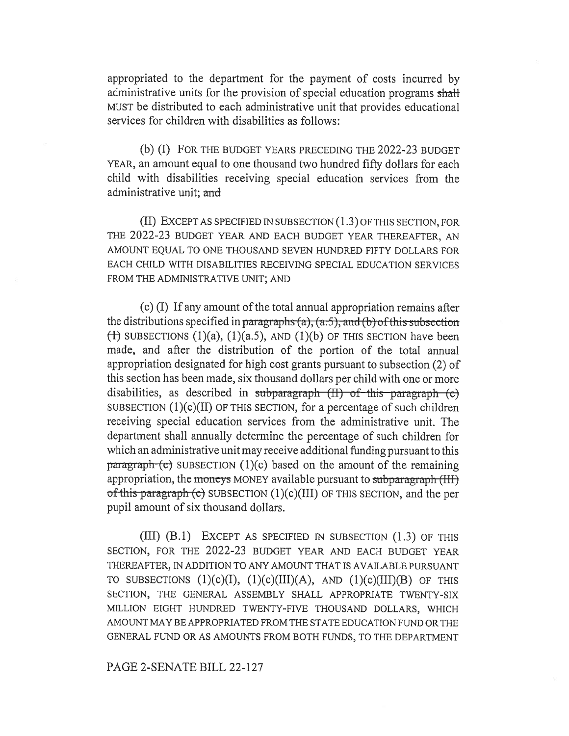appropriated to the department for the payment of costs incurred by administrative units for the provision of special education programs shall MUST be distributed to each administrative unit that provides educational services for children with disabilities as follows:

(b) (I) FOR THE BUDGET YEARS PRECEDING THE 2022-23 BUDGET YEAR, an amount equal to one thousand two hundred fifty dollars for each child with disabilities receiving special education services from the administrative unit; and

(II) EXCEPT AS SPECIFIED IN SUBSECTION (1.3) OF THIS SECTION, FOR THE 2022-23 BUDGET YEAR AND EACH BUDGET YEAR THEREAFTER, AN AMOUNT EQUAL TO ONE THOUSAND SEVEN HUNDRED FIFTY DOLLARS FOR EACH CHILD WITH DISABILITIES RECEIVING SPECIAL EDUCATION SERVICES FROM THE ADMINISTRATIVE UNIT; AND

(c) (I) If any amount of the total annual appropriation remains after the distributions specified in paragraphs (a), (a.5), and (b) of this subsection  $(1)$  SUBSECTIONS  $(1)(a)$ ,  $(1)(a.5)$ , AND  $(1)(b)$  OF THIS SECTION have been made, and after the distribution of the portion of the total annual appropriation designated for high cost grants pursuant to subsection (2) of this section has been made, six thousand dollars per child with one or more disabilities, as described in subparagraph  $(H)$  of this paragraph  $(c)$ SUBSECTION  $(1)(c)(II)$  OF THIS SECTION, for a percentage of such children receiving special education services from the administrative unit. The department shall annually determine the percentage of such children for which an administrative unit may receive additional funding pursuant to this  $\frac{\text{parameter of}}{\text{mean}}$  (c) SUBSECTION (1)(c) based on the amount of the remaining appropriation, the moneys MONEY available pursuant to subparagraph (III) of this paragraph (c) SUBSECTION  $(1)(c)(III)$  OF THIS SECTION, and the per pupil amount of six thousand dollars.

(III) (B.1) EXCEPT AS SPECIFIED IN SUBSECTION (1.3) OF THIS SECTION, FOR THE 2022-23 BUDGET YEAR AND EACH BUDGET YEAR THEREAFTER, IN ADDITION TO ANY AMOUNT THAT IS AVAILABLE PURSUANT TO SUBSECTIONS  $(1)(c)(I)$ ,  $(1)(c)(III)(A)$ , AND  $(1)(c)(III)(B)$  OF THIS SECTION, THE GENERAL ASSEMBLY SHALL APPROPRIATE TWENTY-SIX MILLION EIGHT HUNDRED TWENTY-FIVE THOUSAND DOLLARS, WHICH AMOUNT MAY BE APPROPRIATED FROM THE STATE EDUCATION FUND OR THE GENERAL FUND OR AS AMOUNTS FROM BOTH FUNDS, TO THE DEPARTMENT

PAGE 2-SENATE BILL 22-127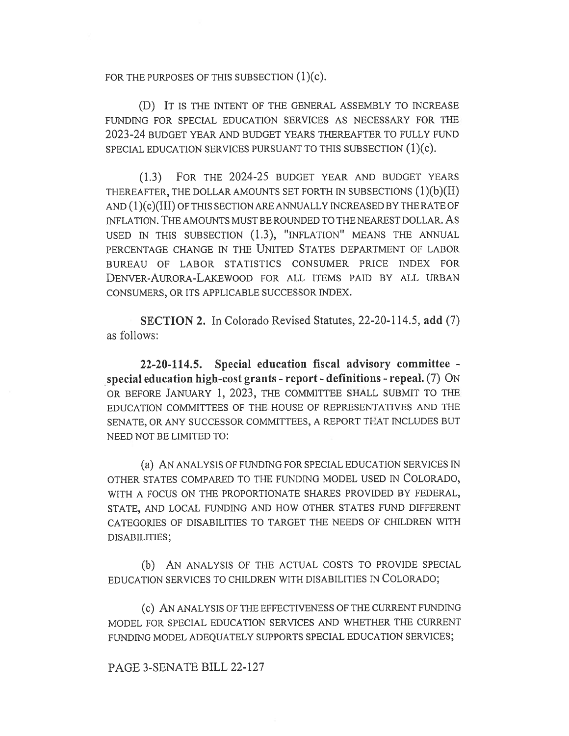FOR THE PURPOSES OF THIS SUBSECTION (1)(c).

(D) IT IS THE INTENT OF THE GENERAL ASSEMBLY TO INCREASE FUNDING FOR SPECIAL EDUCATION SERVICES AS NECESSARY FOR THE 2023-24 BUDGET YEAR AND BUDGET YEARS THEREAFTER TO FULLY FUND SPECIAL EDUCATION SERVICES PURSUANT TO THIS SUBSECTION (1)(c).

(1.3) FOR THE 2024-25 BUDGET YEAR AND BUDGET YEARS THEREAFTER, THE DOLLAR AMOUNTS SET FORTH IN SUBSECTIONS (1)(b)(II)  $AND (1 )$ (c)(III) OF THIS SECTION ARE ANNUALLY INCREASED BY THE RATE OF INFLATION. THE AMOUNTS MUST BE ROUNDED TO THE NEAREST DOLLAR. AS USED IN THIS SUBSECTION (1.3), "INFLATION" MEANS THE ANNUAL PERCENTAGE CHANGE IN THE UNITED STATES DEPARTMENT OF LABOR BUREAU OF LABOR STATISTICS CONSUMER PRICE INDEX FOR DENVER-AURORA-LAKEWOOD FOR ALL ITEMS PAID BY ALL URBAN CONSUMERS, OR ITS APPLICABLE SUCCESSOR INDEX.

SECTION 2. In Colorado Revised Statutes, 22-20-114.5, add (7) as follows:

22-20-114.5. Special education fiscal advisory committee special education high-cost grants - report - definitions - repeal. (7) ON OR BEFORE JANUARY 1, 2023, THE COMMITTEE SHALL SUBMIT TO THE EDUCATION COMMITTEES OF THE HOUSE OF REPRESENTATIVES AND THE SENATE, OR ANY SUCCESSOR COMMITTEES, A REPORT THAT INCLUDES BUT NEED NOT BE LIMITED TO:

(a) AN ANALYSIS OF FUNDING FOR SPECIAL EDUCATION SERVICES IN OTHER STATES COMPARED TO THE FUNDING MODEL USED IN COLORADO, WITH A FOCUS ON THE PROPORTIONATE SHARES PROVIDED BY FEDERAL, STATE, AND LOCAL FUNDING AND HOW OTHER STATES FUND DIFFERENT CATEGORIES OF DISABILITIES TO TARGET THE NEEDS OF CHILDREN WITH DISABILITIES;

(b) AN ANALYSIS OF THE ACTUAL COSTS TO PROVIDE SPECIAL EDUCATION SERVICES TO CHILDREN WITH DISABILITIES IN COLORADO;

(C) AN ANALYSIS OF THE EFFECTIVENESS OF THE CURRENT FUNDING MODEL FOR SPECIAL EDUCATION SERVICES AND WHETHER THE CURRENT FUNDING MODEL ADEQUATELY SUPPORTS SPECIAL EDUCATION SERVICES;

PAGE 3-SENATE BILL 22-127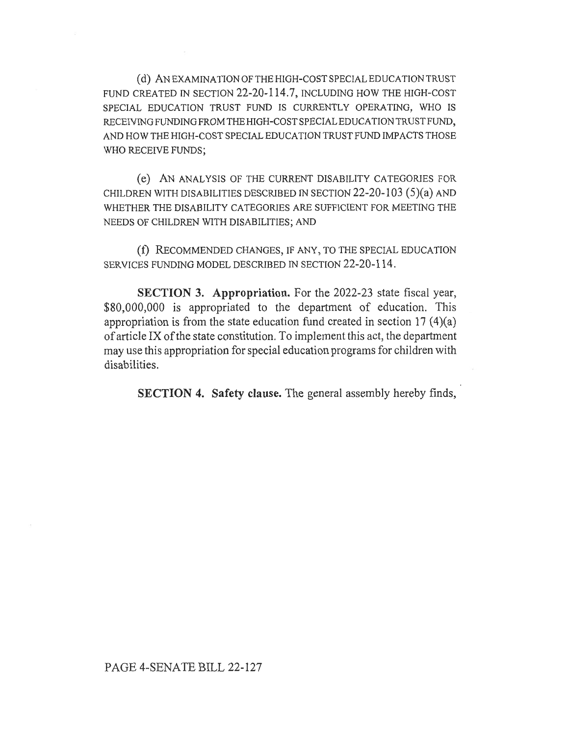(d) AN EXAMINATION OF THE HIGH-COST SPECIAL EDUCATION TRUST FUND CREATED IN SECTION 22-20-114.7, INCLUDING HOW THE HIGH-COST SPECIAL EDUCATION TRUST FUND IS CURRENTLY OPERATING, WHO IS RECEIVING FUNDING FROM THE HIGH-COST SPECIAL EDUCATION TRUST FUND, AND HOW THE HIGH-COST SPECIAL EDUCATION TRUST FUND IMPACTS THOSE WHO RECEIVE FUNDS;

(e) AN ANALYSIS OF THE CURRENT DISABILITY CATEGORIES FOR CHILDREN WITH DISABILITIES DESCRIBED IN SECTION 22-20-103 (5)(a) AND WHETHER THE DISABILITY CATEGORIES ARE SUFFICIENT FOR MEETING THE NEEDS OF CHILDREN WITH DISABILITIES; AND

(f) RECOMMENDED CHANGES, IF ANY, TO THE SPECIAL EDUCATION SERVICES FUNDING MODEL DESCRIBED IN SECTION 22-20-114.

SECTION 3. Appropriation. For the 2022-23 state fiscal year, \$80,000,000 is appropriated to the department of education. This appropriation is from the state education fund created in section 17 (4)(a) of article IX of the state constitution. To implement this act, the department may use this appropriation for special education programs for children with disabilities.

SECTION 4. Safety clause. The general assembly hereby finds,